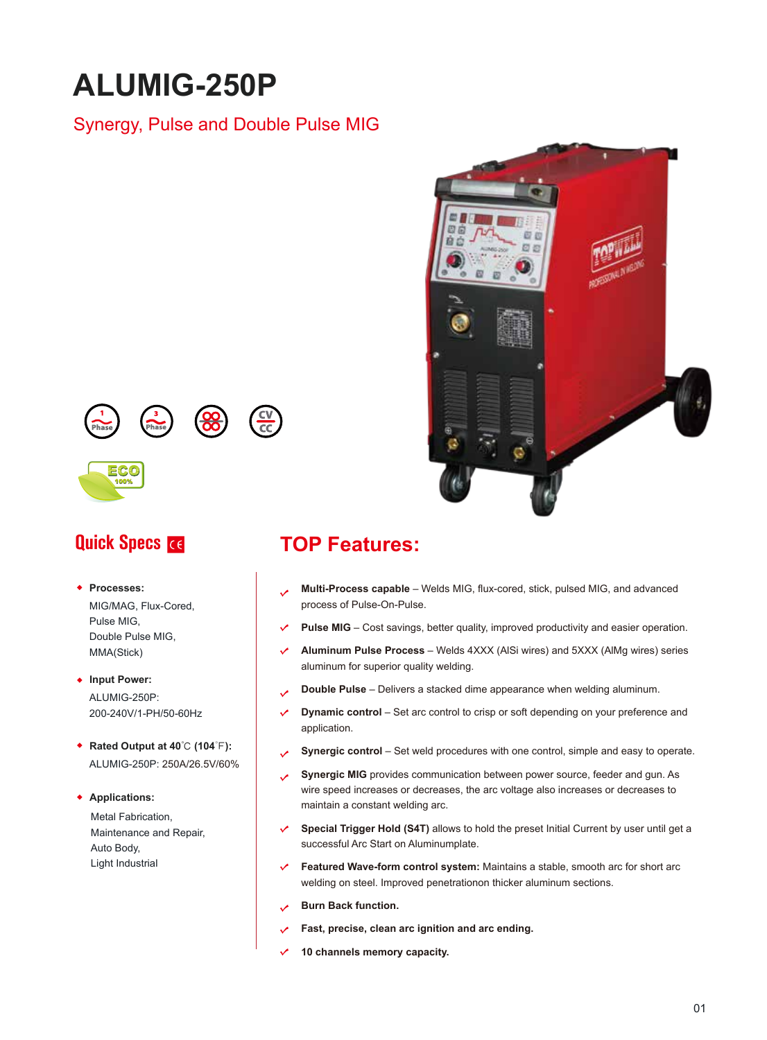# **ALUMIG-250P**

#### Synergy, Pulse and Double Pulse MIG







**Processes:** 

MIG/MAG, Flux-Cored, Pulse MIG, Double Pulse MIG, MMA(Stick)

◆ Input Power: ALUMIG-250P: 200-240V/1-PH/50-60Hz

**Rated Output at 40**℃ **(104**℉**):**  ALUMIG-250P: 250A/26.5V/60%

**Applications:** 

Metal Fabrication, Maintenance and Repair, Auto Body, Light Industrial

# **Quick Specs <b>TOP Features:**

- **Multi-Process capable** Welds MIG, flux-cored, stick, pulsed MIG, and advanced process of Pulse-On-Pulse.
- **Pulse MIG** Cost savings, better quality, improved productivity and easier operation.
- **Aluminum Pulse Process** Welds 4XXX (AlSi wires) and 5XXX (AlMg wires) series aluminum for superior quality welding.
- **Double Pulse**  Delivers a stacked dime appearance when welding aluminum.
- $\checkmark$ **Dynamic control** – Set arc control to crisp or soft depending on your preference and application.
- **Synergic control** Set weld procedures with one control, simple and easy to operate.
- **Synergic MIG** provides communication between power source, feeder and gun. As wire speed increases or decreases, the arc voltage also increases or decreases to maintain a constant welding arc.
- **Special Trigger Hold (S4T)** allows to hold the preset Initial Current by user until get a successful Arc Start on Aluminumplate.
- $\checkmark$ **Featured Wave-form control system:** Maintains a stable, smooth arc for short arc welding on steel. Improved penetrationon thicker aluminum sections.
- **Burn Back function.**
- **Fast, precise, clean arc ignition and arc ending.**
- $\checkmark$ **10 channels memory capacity.**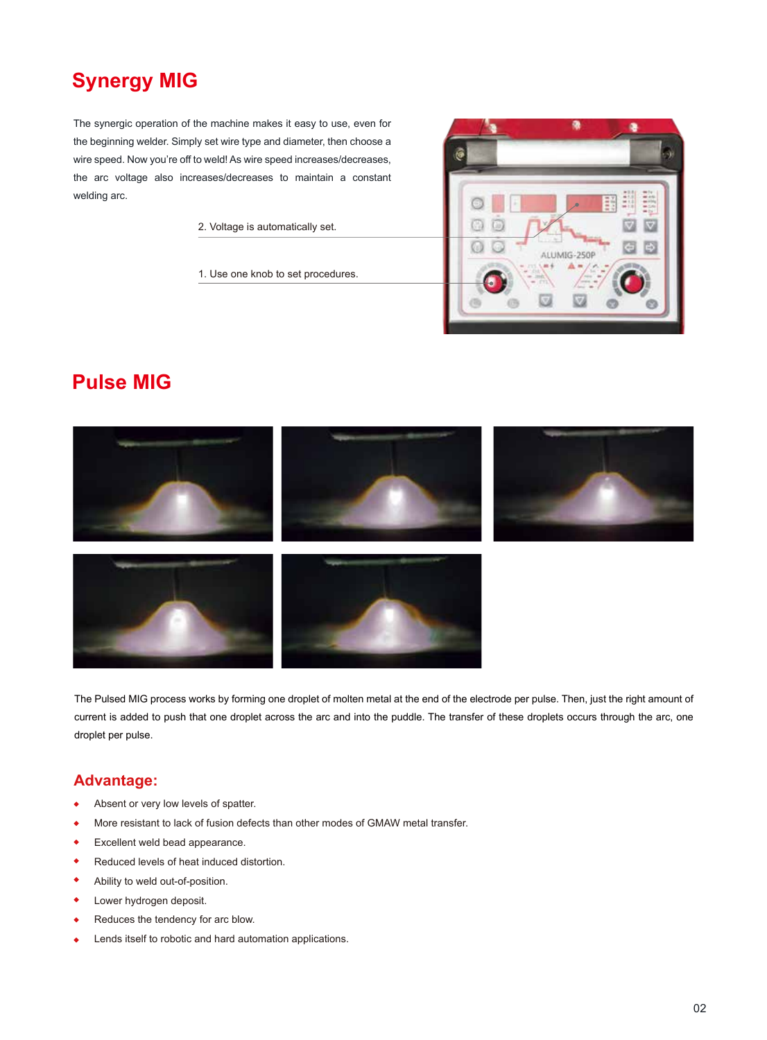# **Synergy MIG**

The synergic operation of the machine makes it easy to use, even for the beginning welder. Simply set wire type and diameter, then choose a wire speed. Now you're off to weld! As wire speed increases/decreases, the arc voltage also increases/decreases to maintain a constant welding arc.

2. Voltage is automatically set.

1. Use one knob to set procedures.



### **Pulse MIG**



The Pulsed MIG process works by forming one droplet of molten metal at the end of the electrode per pulse. Then, just the right amount of current is added to push that one droplet across the arc and into the puddle. The transfer of these droplets occurs through the arc, one droplet per pulse.

#### **Advantage:**

- Absent or very low levels of spatter.  $\ddot{\bullet}$
- More resistant to lack of fusion defects than other modes of GMAW metal transfer.  $\ddot{\bullet}$
- ۰ Excellent weld bead appearance.
- $\ddot{\bullet}$ Reduced levels of heat induced distortion.
- ۰ Ability to weld out-of-position.
- Lower hydrogen deposit.  $\bullet$
- Reduces the tendency for arc blow. ٠
- Lends itself to robotic and hard automation applications.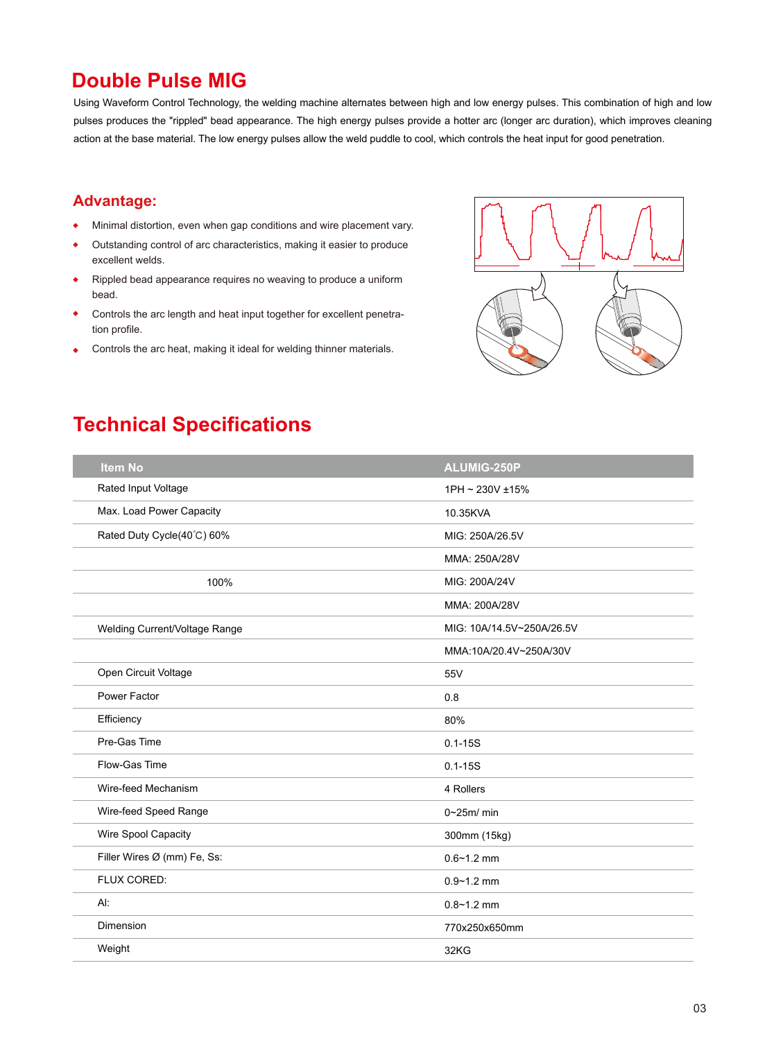## **Double Pulse MIG**

Using Waveform Control Technology, the welding machine alternates between high and low energy pulses. This combination of high and low pulses produces the "rippled" bead appearance. The high energy pulses provide a hotter arc (longer arc duration), which improves cleaning action at the base material. The low energy pulses allow the weld puddle to cool, which controls the heat input for good penetration.

#### **Advantage:**

- Minimal distortion, even when gap conditions and wire placement vary.  $\ddot{\bullet}$
- Outstanding control of arc characteristics, making it easier to produce  $\blacklozenge$ excellent welds.
- Rippled bead appearance requires no weaving to produce a uniform bead.
- Controls the arc length and heat input together for excellent penetration profile.
- Controls the arc heat, making it ideal for welding thinner materials.  $\ddot{\bullet}$



# **Technical Specifications**

| <b>Item No</b>                | ALUMIG-250P               |
|-------------------------------|---------------------------|
| Rated Input Voltage           | 1PH ~ 230V ±15%           |
| Max. Load Power Capacity      | 10.35KVA                  |
| Rated Duty Cycle(40°C) 60%    | MIG: 250A/26.5V           |
|                               | MMA: 250A/28V             |
| 100%                          | MIG: 200A/24V             |
|                               | MMA: 200A/28V             |
| Welding Current/Voltage Range | MIG: 10A/14.5V~250A/26.5V |
|                               | MMA:10A/20.4V~250A/30V    |
| Open Circuit Voltage          | 55V                       |
| Power Factor                  | 0.8                       |
| Efficiency                    | 80%                       |
| Pre-Gas Time                  | $0.1 - 15S$               |
| Flow-Gas Time                 | $0.1 - 15S$               |
| Wire-feed Mechanism           | 4 Rollers                 |
| Wire-feed Speed Range         | $0\nu 25m/min$            |
| Wire Spool Capacity           | 300mm (15kg)              |
| Filler Wires Ø (mm) Fe, Ss:   | $0.6 - 1.2$ mm            |
| FLUX CORED:                   | $0.9 - 1.2$ mm            |
| Al:                           | $0.8 - 1.2$ mm            |
| Dimension                     | 770x250x650mm             |
| Weight                        | 32KG                      |